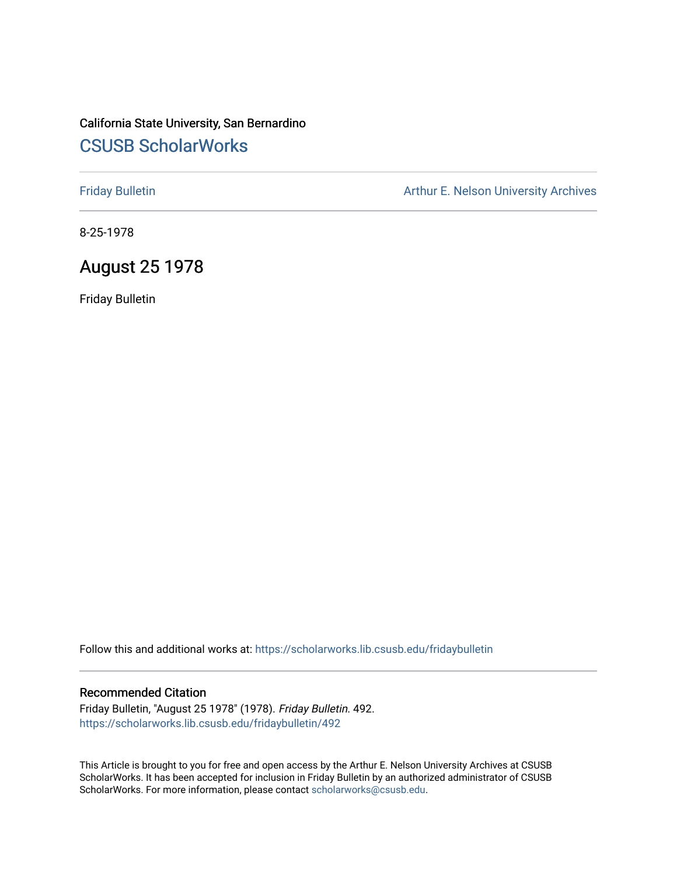## California State University, San Bernardino [CSUSB ScholarWorks](https://scholarworks.lib.csusb.edu/)

[Friday Bulletin](https://scholarworks.lib.csusb.edu/fridaybulletin) **Arthur E. Nelson University Archives** Arthur E. Nelson University Archives

8-25-1978

## August 25 1978

Friday Bulletin

Follow this and additional works at: [https://scholarworks.lib.csusb.edu/fridaybulletin](https://scholarworks.lib.csusb.edu/fridaybulletin?utm_source=scholarworks.lib.csusb.edu%2Ffridaybulletin%2F492&utm_medium=PDF&utm_campaign=PDFCoverPages)

### Recommended Citation

Friday Bulletin, "August 25 1978" (1978). Friday Bulletin. 492. [https://scholarworks.lib.csusb.edu/fridaybulletin/492](https://scholarworks.lib.csusb.edu/fridaybulletin/492?utm_source=scholarworks.lib.csusb.edu%2Ffridaybulletin%2F492&utm_medium=PDF&utm_campaign=PDFCoverPages)

This Article is brought to you for free and open access by the Arthur E. Nelson University Archives at CSUSB ScholarWorks. It has been accepted for inclusion in Friday Bulletin by an authorized administrator of CSUSB ScholarWorks. For more information, please contact [scholarworks@csusb.edu.](mailto:scholarworks@csusb.edu)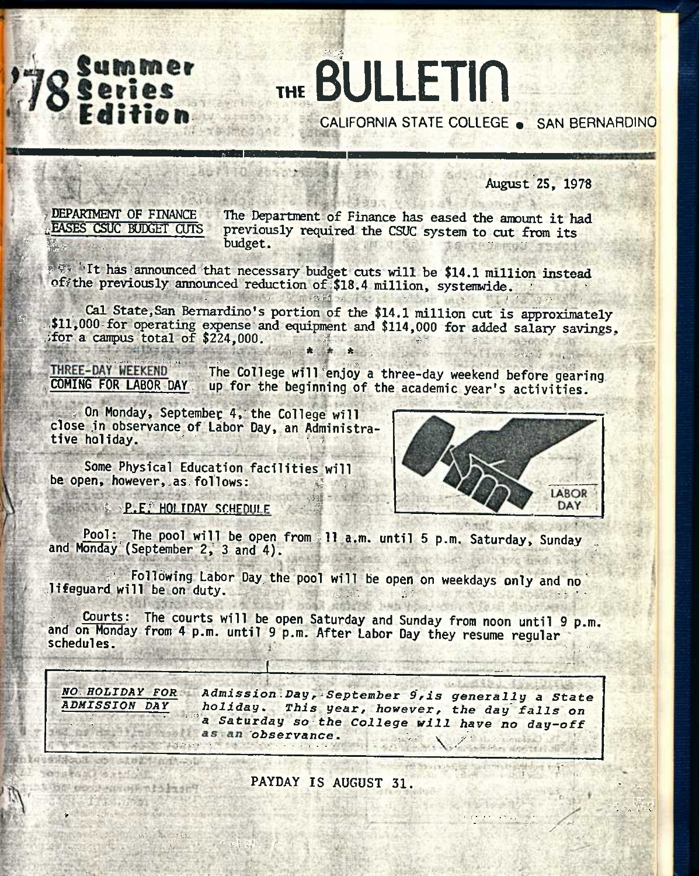# THE BULLETIN CALIFORNIA STATE COLLEGE . SAN BERNARDINO

**August 25, 1978** 

DEPARTMENT OF FINANCE **EASES CSUC BUDGET CUTS** 

Summer

The Department of Finance has eased the amount it had previously required the CSUC system to cut from its budget.

素学 it has announced that necessary budget cuts will be \$14.1 million instead ofithe previously announced reduction of \$18.4 million, systemwide.

APPEALEMENT PLAN

Cal State, San Bernardino's portion of the \$14.1 million cut is approximately \$11,000 for operating expense and equipment and \$114,000 for added salary savings, for a campus total of \$224,000.

THREE-DAY WEEKEND The College will enjoy a three-day weekend before gearing **COMING FOR LABOR DAY** up for the beginning of the academic year's activities.

On Monday, September 4, the College will close in observance of Labor Day, an Administrative holiday.

Some Physical Education facilities will be open, however, as follows:



**EXAMPLE: HOLIDAY SCHEDULE** 

三、四五千三百四十六

t Bon processing when the set

Pool: The pool will be open from 11 a.m. until 5 p.m. Saturday, Sunday and Monday (September 2, 3 and 4).

Following Labor Day the pool will be open on weekdays only and no lifeguard will be on duty.

The courts will be open Saturday and Sunday from noon until 9 p.m. Courts: and on Monday from 4 p.m. until 9 p.m. After Labor Day they resume regular schedules.

2000 2012 2022

NO HOLIDAY FOR Admission Day, September 9, is generally a State **ADMISSION DAY** holiday. This year, however, the day falls on a Saturday so the College will have no day-off as an observance.

PAYDAY IS AUGUST 31.